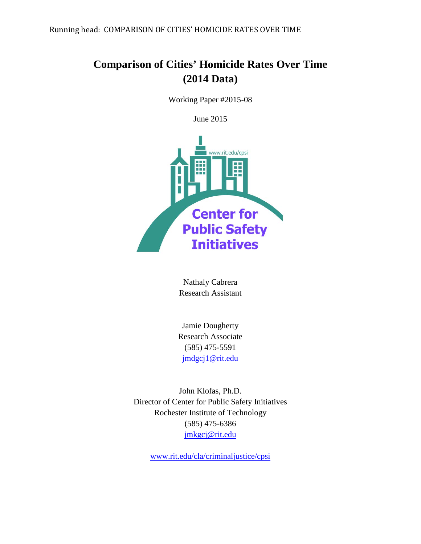Running head: COMPARISON OF CITIES' HOMICIDE RATES OVER TIME

# **Comparison of Cities' Homicide Rates Over Time (2014 Data)**

Working Paper #2015-08

June 2015



Nathaly Cabrera Research Assistant

Jamie Dougherty Research Associate (585) 475-5591 [jmdgcj1@rit.edu](mailto:jmdgcj1@rit.edu)

John Klofas, Ph.D. Director of Center for Public Safety Initiatives Rochester Institute of Technology (585) 475-6386 [jmkgcj@rit.edu](mailto:jmkgcj@rit.edu)

[www.rit.edu/cla/criminaljustice/cpsi](http://www.rit.edu/cla/criminaljustice/cpsi)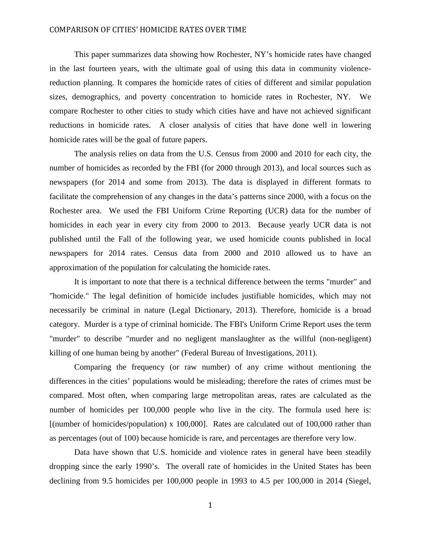This paper summarizes data showing how Rochester, NY's homicide rates have changed in the last fourteen years, with the ultimate goal of using this data in community violencereduction planning. It compares the homicide rates of cities of different and similar population sizes, demographics, and poverty concentration to homicide rates in Rochester, NY. We compare Rochester to other cities to study which cities have and have not achieved significant reductions in homicide rates. A closer analysis of cities that have done well in lowering homicide rates will be the goal of future papers.

The analysis relies on data from the U.S. Census from 2000 and 2010 for each city, the number of homicides as recorded by the FBI (for 2000 through 2013), and local sources such as newspapers (for 2014 and some from 2013). The data is displayed in different formats to facilitate the comprehension of any changes in the data's patterns since 2000, with a focus on the Rochester area. We used the FBI Uniform Crime Reporting (UCR) data for the number of homicides in each year in every city from 2000 to 2013. Because yearly UCR data is not published until the Fall of the following year, we used homicide counts published in local newspapers for 2014 rates. Census data from 2000 and 2010 allowed us to have an approximation of the population for calculating the homicide rates.

It is important to note that there is a technical difference between the terms "murder" and "homicide." The legal definition of homicide includes justifiable homicides, which may not necessarily be criminal in nature (Legal Dictionary, 2013). Therefore, homicide is a broad category. Murder is a type of criminal homicide. The FBI's Uniform Crime Report uses the term "murder" to describe "murder and no negligent manslaughter as the willful (non-negligent) killing of one human being by another" (Federal Bureau of Investigations, 2011).

Comparing the frequency (or raw number) of any crime without mentioning the differences in the cities' populations would be misleading; therefore the rates of crimes must be compared. Most often, when comparing large metropolitan areas, rates are calculated as the number of homicides per 100,000 people who live in the city. The formula used here is:  $\lceil$ (number of homicides/population) x 100,000]. Rates are calculated out of 100,000 rather than as percentages (out of 100) because homicide is rare, and percentages are therefore very low.

Data have shown that U.S. homicide and violence rates in general have been steadily dropping since the early 1990's. The overall rate of homicides in the United States has been declining from 9.5 homicides per 100,000 people in 1993 to 4.5 per 100,000 in 2014 (Siegel,

1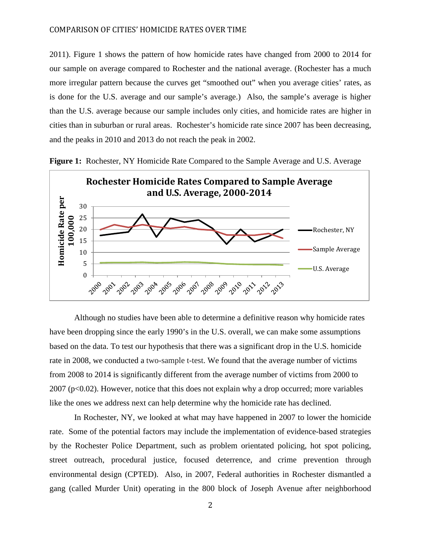2011). Figure 1 shows the pattern of how homicide rates have changed from 2000 to 2014 for our sample on average compared to Rochester and the national average. (Rochester has a much more irregular pattern because the curves get "smoothed out" when you average cities' rates, as is done for the U.S. average and our sample's average.) Also, the sample's average is higher than the U.S. average because our sample includes only cities, and homicide rates are higher in cities than in suburban or rural areas. Rochester's homicide rate since 2007 has been decreasing, and the peaks in 2010 and 2013 do not reach the peak in 2002.





Although no studies have been able to determine a definitive reason why homicide rates have been dropping since the early 1990's in the U.S. overall, we can make some assumptions based on the data. To test our hypothesis that there was a significant drop in the U.S. homicide rate in 2008, we conducted a two-sample t-test. We found that the average number of victims from 2008 to 2014 is significantly different from the average number of victims from 2000 to  $2007$  (p<0.02). However, notice that this does not explain why a drop occurred; more variables like the ones we address next can help determine why the homicide rate has declined.

In Rochester, NY, we looked at what may have happened in 2007 to lower the homicide rate. Some of the potential factors may include the implementation of evidence-based strategies by the Rochester Police Department, such as problem orientated policing, hot spot policing, street outreach, procedural justice, focused deterrence, and crime prevention through environmental design (CPTED). Also, in 2007, Federal authorities in Rochester dismantled a gang (called Murder Unit) operating in the 800 block of Joseph Avenue after neighborhood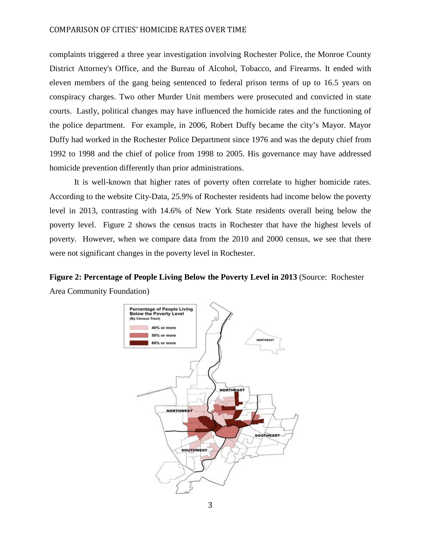complaints triggered a three year investigation involving Rochester Police, the Monroe County District Attorney's Office, and the Bureau of Alcohol, Tobacco, and Firearms. It ended with eleven members of the gang being sentenced to federal prison terms of up to 16.5 years on conspiracy charges. Two other Murder Unit members were prosecuted and convicted in state courts. Lastly, political changes may have influenced the homicide rates and the functioning of the police department. For example, in 2006, Robert Duffy became the city's Mayor. Mayor Duffy had worked in the Rochester Police Department since 1976 and was the deputy chief from 1992 to 1998 and the chief of police from 1998 to 2005. His governance may have addressed homicide prevention differently than prior administrations.

It is well-known that higher rates of poverty often correlate to higher homicide rates. According to the website City-Data, 25.9% of Rochester residents had income below the poverty level in 2013, contrasting with 14.6% of New York State residents overall being below the poverty level. Figure 2 shows the census tracts in Rochester that have the highest levels of poverty. However, when we compare data from the 2010 and 2000 census, we see that there were not significant changes in the poverty level in Rochester.

### **Figure 2: Percentage of People Living Below the Poverty Level in 2013** (Source: Rochester Area Community Foundation)

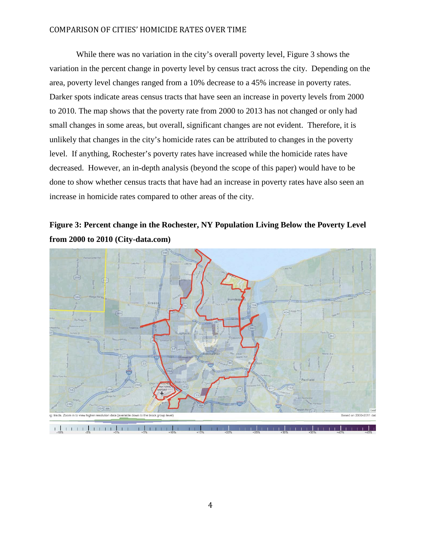While there was no variation in the city's overall poverty level, Figure 3 shows the variation in the percent change in poverty level by census tract across the city. Depending on the area, poverty level changes ranged from a 10% decrease to a 45% increase in poverty rates. Darker spots indicate areas census tracts that have seen an increase in poverty levels from 2000 to 2010. The map shows that the poverty rate from 2000 to 2013 has not changed or only had small changes in some areas, but overall, significant changes are not evident. Therefore, it is unlikely that changes in the city's homicide rates can be attributed to changes in the poverty level. If anything, Rochester's poverty rates have increased while the homicide rates have decreased. However, an in-depth analysis (beyond the scope of this paper) would have to be done to show whether census tracts that have had an increase in poverty rates have also seen an increase in homicide rates compared to other areas of the city.

## **Figure 3: Percent change in the Rochester, NY Population Living Below the Poverty Level from 2000 to 2010 (City-data.com)**

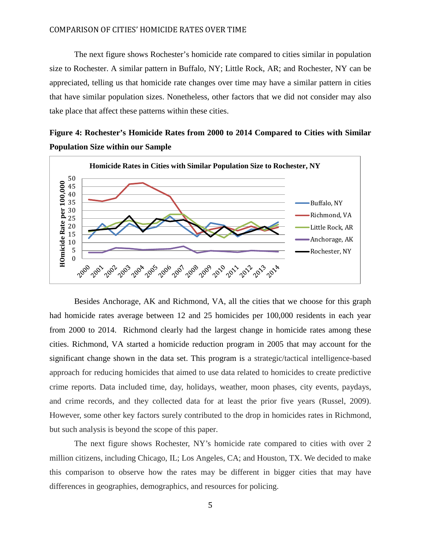The next figure shows Rochester's homicide rate compared to cities similar in population size to Rochester. A similar pattern in Buffalo, NY; Little Rock, AR; and Rochester, NY can be appreciated, telling us that homicide rate changes over time may have a similar pattern in cities that have similar population sizes. Nonetheless, other factors that we did not consider may also take place that affect these patterns within these cities.

**Figure 4: Rochester's Homicide Rates from 2000 to 2014 Compared to Cities with Similar Population Size within our Sample**



Besides Anchorage, AK and Richmond, VA, all the cities that we choose for this graph had homicide rates average between 12 and 25 homicides per 100,000 residents in each year from 2000 to 2014. Richmond clearly had the largest change in homicide rates among these cities. Richmond, VA started a homicide reduction program in 2005 that may account for the significant change shown in the data set. This program is a strategic/tactical intelligence-based approach for reducing homicides that aimed to use data related to homicides to create predictive crime reports. Data included time, day, holidays, weather, moon phases, city events, paydays, and crime records, and they collected data for at least the prior five years (Russel, 2009). However, some other key factors surely contributed to the drop in homicides rates in Richmond, but such analysis is beyond the scope of this paper.

The next figure shows Rochester, NY's homicide rate compared to cities with over 2 million citizens, including Chicago, IL; Los Angeles, CA; and Houston, TX. We decided to make this comparison to observe how the rates may be different in bigger cities that may have differences in geographies, demographics, and resources for policing.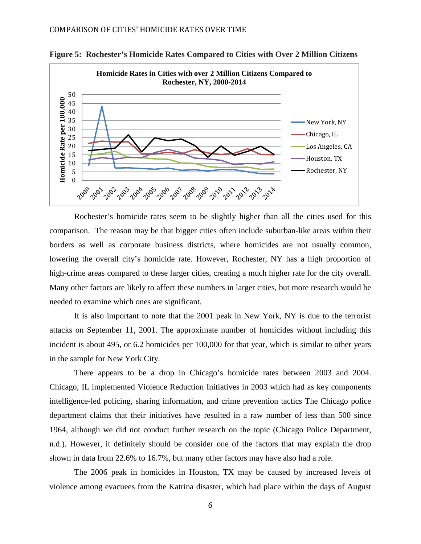



Rochester's homicide rates seem to be slightly higher than all the cities used for this comparison. The reason may be that bigger cities often include suburban-like areas within their borders as well as corporate business districts, where homicides are not usually common, lowering the overall city's homicide rate. However, Rochester, NY has a high proportion of high-crime areas compared to these larger cities, creating a much higher rate for the city overall. Many other factors are likely to affect these numbers in larger cities, but more research would be needed to examine which ones are significant.

It is also important to note that the 2001 peak in New York, NY is due to the terrorist attacks on September 11, 2001. The approximate number of homicides without including this incident is about 495, or 6.2 homicides per 100,000 for that year, which is similar to other years in the sample for New York City.

There appears to be a drop in Chicago's homicide rates between 2003 and 2004. Chicago, IL implemented Violence Reduction Initiatives in 2003 which had as key components intelligence-led policing, sharing information, and crime prevention tactics The Chicago police department claims that their initiatives have resulted in a raw number of less than 500 since 1964, although we did not conduct further research on the topic (Chicago Police Department, n.d.). However, it definitely should be consider one of the factors that may explain the drop shown in data from 22.6% to 16.7%, but many other factors may have also had a role.

The 2006 peak in homicides in Houston, TX may be caused by increased levels of violence among evacuees from the Katrina disaster, which had place within the days of August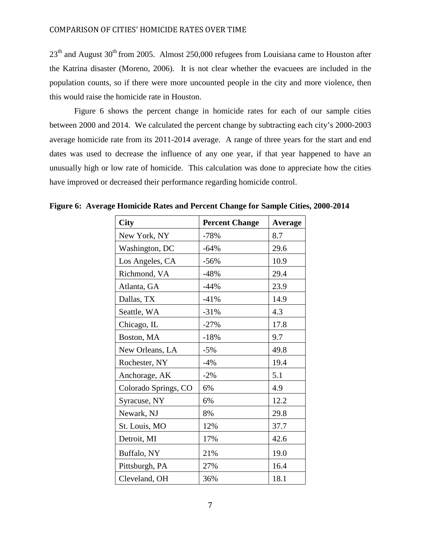23<sup>th</sup> and August 30<sup>th</sup> from 2005. Almost 250,000 refugees from Louisiana came to Houston after the Katrina disaster (Moreno, 2006). It is not clear whether the evacuees are included in the population counts, so if there were more uncounted people in the city and more violence, then this would raise the homicide rate in Houston.

Figure 6 shows the percent change in homicide rates for each of our sample cities between 2000 and 2014. We calculated the percent change by subtracting each city's 2000-2003 average homicide rate from its 2011-2014 average. A range of three years for the start and end dates was used to decrease the influence of any one year, if that year happened to have an unusually high or low rate of homicide. This calculation was done to appreciate how the cities have improved or decreased their performance regarding homicide control.

| <b>City</b>          | <b>Percent Change</b> | <b>Average</b> |
|----------------------|-----------------------|----------------|
| New York, NY         | $-78%$                | 8.7            |
| Washington, DC       | $-64%$                | 29.6           |
| Los Angeles, CA      | $-56%$                | 10.9           |
| Richmond, VA         | $-48%$                | 29.4           |
| Atlanta, GA          | $-44%$                | 23.9           |
| Dallas, TX           | $-41%$                | 14.9           |
| Seattle, WA          | $-31%$                | 4.3            |
| Chicago, IL          | $-27%$                | 17.8           |
| Boston, MA           | $-18%$                | 9.7            |
| New Orleans, LA      | $-5%$                 | 49.8           |
| Rochester, NY        | $-4%$                 | 19.4           |
| Anchorage, AK        | $-2%$                 | 5.1            |
| Colorado Springs, CO | 6%                    | 4.9            |
| Syracuse, NY         | 6%                    | 12.2           |
| Newark, NJ           | 8%                    | 29.8           |
| St. Louis, MO        | 12%                   | 37.7           |
| Detroit, MI          | 17%                   | 42.6           |
| Buffalo, NY          | 21%                   | 19.0           |
| Pittsburgh, PA       | 27%                   | 16.4           |
| Cleveland, OH        | 36%                   | 18.1           |

**Figure 6: Average Homicide Rates and Percent Change for Sample Cities, 2000-2014**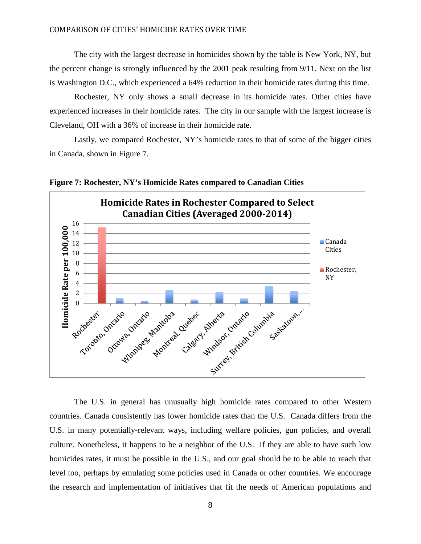The city with the largest decrease in homicides shown by the table is New York, NY, but the percent change is strongly influenced by the 2001 peak resulting from 9/11. Next on the list is Washington D.C., which experienced a 64% reduction in their homicide rates during this time.

Rochester, NY only shows a small decrease in its homicide rates. Other cities have experienced increases in their homicide rates. The city in our sample with the largest increase is Cleveland, OH with a 36% of increase in their homicide rate.

Lastly, we compared Rochester, NY's homicide rates to that of some of the bigger cities in Canada, shown in Figure 7.



**Figure 7: Rochester, NY's Homicide Rates compared to Canadian Cities**

The U.S. in general has unusually high homicide rates compared to other Western countries. Canada consistently has lower homicide rates than the U.S. Canada differs from the U.S. in many potentially-relevant ways, including welfare policies, gun policies, and overall culture. Nonetheless, it happens to be a neighbor of the U.S. If they are able to have such low homicides rates, it must be possible in the U.S., and our goal should be to be able to reach that level too, perhaps by emulating some policies used in Canada or other countries. We encourage the research and implementation of initiatives that fit the needs of American populations and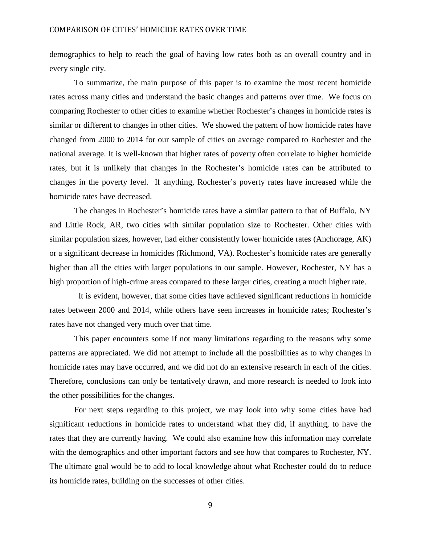demographics to help to reach the goal of having low rates both as an overall country and in every single city.

To summarize, the main purpose of this paper is to examine the most recent homicide rates across many cities and understand the basic changes and patterns over time. We focus on comparing Rochester to other cities to examine whether Rochester's changes in homicide rates is similar or different to changes in other cities. We showed the pattern of how homicide rates have changed from 2000 to 2014 for our sample of cities on average compared to Rochester and the national average. It is well-known that higher rates of poverty often correlate to higher homicide rates, but it is unlikely that changes in the Rochester's homicide rates can be attributed to changes in the poverty level. If anything, Rochester's poverty rates have increased while the homicide rates have decreased.

The changes in Rochester's homicide rates have a similar pattern to that of Buffalo, NY and Little Rock, AR, two cities with similar population size to Rochester. Other cities with similar population sizes, however, had either consistently lower homicide rates (Anchorage, AK) or a significant decrease in homicides (Richmond, VA). Rochester's homicide rates are generally higher than all the cities with larger populations in our sample. However, Rochester, NY has a high proportion of high-crime areas compared to these larger cities, creating a much higher rate.

 It is evident, however, that some cities have achieved significant reductions in homicide rates between 2000 and 2014, while others have seen increases in homicide rates; Rochester's rates have not changed very much over that time.

This paper encounters some if not many limitations regarding to the reasons why some patterns are appreciated. We did not attempt to include all the possibilities as to why changes in homicide rates may have occurred, and we did not do an extensive research in each of the cities. Therefore, conclusions can only be tentatively drawn, and more research is needed to look into the other possibilities for the changes.

For next steps regarding to this project, we may look into why some cities have had significant reductions in homicide rates to understand what they did, if anything, to have the rates that they are currently having. We could also examine how this information may correlate with the demographics and other important factors and see how that compares to Rochester, NY. The ultimate goal would be to add to local knowledge about what Rochester could do to reduce its homicide rates, building on the successes of other cities.

9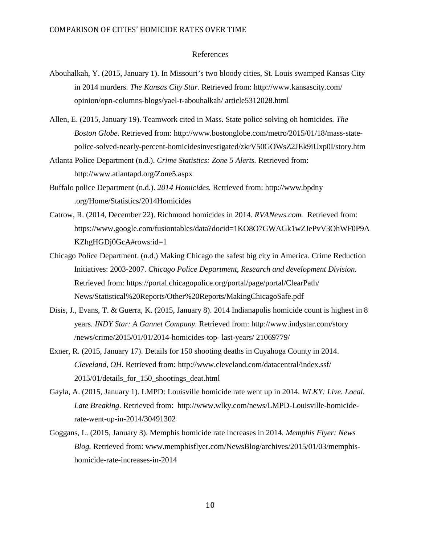#### References

- Abouhalkah, Y. (2015, January 1). In Missouri's two bloody cities, St. Louis swamped Kansas City in 2014 murders. *The Kansas City Star.* Retrieved from: [http://www.kansascity.com/](http://www.kansascity.com/%20opinion/opn-columns-blogs/yael-t-abouhalkah/%20article5312028.html)  [opinion/opn-columns-blogs/yael-t-abouhalkah/ article5312028.html](http://www.kansascity.com/%20opinion/opn-columns-blogs/yael-t-abouhalkah/%20article5312028.html)
- Allen, E. (2015, January 19). Teamwork cited in Mass. State police solving oh homicides*. The Boston Globe*. Retrieved from: http://www.bostonglobe.com/metro/2015/01/18/mass-statepolice-solved-nearly-percent-homicidesinvestigated/zkrV50GOWsZ2JEk9iUxp0I/story.htm
- Atlanta Police Department (n.d.). *Crime Statistics: Zone 5 Alerts.* Retrieved from: <http://www.atlantapd.org/Zone5.aspx>
- Buffalo police Department (n.d.). *2014 Homicides.* Retrieved from: http://www.bpdny .org/Home/Statistics/2014Homicides
- Catrow, R. (2014, December 22). Richmond homicides in 2014*. RVANews.com.* Retrieved from: https://www.google.com/fusiontables/data?docid=1KO8O7GWAGk1wZJePvV3OhWF0P9A KZhgHGDj0GcA#rows:id=1
- Chicago Police Department. (n.d.) Making Chicago the safest big city in America. Crime Reduction Initiatives: 2003-2007. *Chicago Police Department, Research and development Division.*  Retrieved from: https://portal.chicagopolice.org/portal/page/portal/ClearPath/ News/Statistical%20Reports/Other%20Reports/MakingChicagoSafe.pdf
- Disis, J., Evans, T. & Guerra, K. (2015, January 8). 2014 Indianapolis homicide count is highest in 8 years. *INDY Star: A Gannet Company.* Retrieved from: [http://www.indystar.com/story](http://www.indystar.com/story%20/news/crime/2015/01/01/2014-homicides-top-%20last-years/%2021069779/)  [/news/crime/2015/01/01/2014-homicides-top-](http://www.indystar.com/story%20/news/crime/2015/01/01/2014-homicides-top-%20last-years/%2021069779/) last-years/ 21069779/
- Exner, R. (2015, January 17). Details for 150 shooting deaths in Cuyahoga County in 2014. *Cleveland, OH*. Retrieved from: [http://www.cleveland.com/datacentral/index.ssf/](http://www.cleveland.com/datacentral/index.ssf/%20%202015/01/details_for_150_shootings_deat.html)  [2015/01/details\\_for\\_150\\_shootings\\_deat.html](http://www.cleveland.com/datacentral/index.ssf/%20%202015/01/details_for_150_shootings_deat.html)
- Gayla, A. (2015, January 1). LMPD: Louisville homicide rate went up in 2014*. WLKY: Live. Local. Late Breaking.* Retrieved from: http://www.wlky.com/news/LMPD-Louisville-homiciderate-went-up-in-2014/30491302
- Goggans, L. (2015, January 3). Memphis homicide rate increases in 2014*. Memphis Flyer: News Blog.* Retrieved from: www.memphisflyer.com/NewsBlog/archives/2015/01/03/memphishomicide-rate-increases-in-2014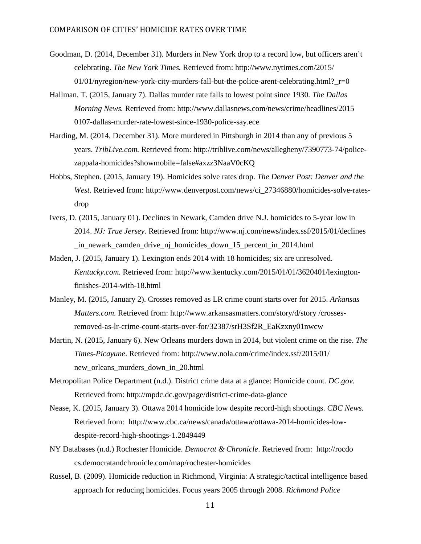- Goodman, D. (2014, December 31). Murders in New York drop to a record low, but officers aren't celebrating. *The New York Times.* Retrieved from: [http://www.nytimes.com/2015/](http://www.nytimes.com/2015/01/01/)   $01/01/ny$  $01/01/ny$ region/new-york-city-murders-fall-but-the-police-arent-celebrating.html?  $r=0$
- Hallman, T. (2015, January 7). Dallas murder rate falls to lowest point since 1930*. The Dallas Morning News.* Retrieved from:<http://www.dallasnews.com/news/crime/headlines/2015> 0107-dallas-murder-rate-lowest-since-1930-police-say.ece
- Harding, M. (2014, December 31). More murdered in Pittsburgh in 2014 than any of previous 5 years. *TribLive.com.* Retrieved from: http://triblive.com/news/allegheny/7390773-74/policezappala-homicides?showmobile=false#axzz3NaaV0cKQ
- Hobbs, Stephen. (2015, January 19). Homicides solve rates drop. *The Denver Post: Denver and the West.* Retrieved from: [http://www.denverpost.com/news/ci\\_27346880/homicides-solve-rates](http://www.denverpost.com/news/ci_27346880/homicides-solve-rates-drop)[drop](http://www.denverpost.com/news/ci_27346880/homicides-solve-rates-drop)
- Ivers, D. (2015, January 01). Declines in Newark, Camden drive N.J. homicides to 5-year low in 2014. *NJ: True Jersey.* Retrieved from: [http://www.nj.com/news/index.ssf/2015/01/declines](http://www.nj.com/news/index.ssf/2015/01/declines%20_in_newark_camden_drive_nj_homicides_down_15_percent_in_2014.html)  [\\_in\\_newark\\_camden\\_drive\\_nj\\_homicides\\_down\\_15\\_percent\\_in\\_2014.html](http://www.nj.com/news/index.ssf/2015/01/declines%20_in_newark_camden_drive_nj_homicides_down_15_percent_in_2014.html)
- Maden, J. (2015, January 1). Lexington ends 2014 with 18 homicides; six are unresolved. *Kentucky.com.* Retrieved from: [http://www.kentucky.com/2015/01/01/3620401/lexington](http://www.kentucky.com/2015/01/01/3620401/lexington-finishes-2014-with-18.html)[finishes-2014-with-18.html](http://www.kentucky.com/2015/01/01/3620401/lexington-finishes-2014-with-18.html)
- Manley, M. (2015, January 2). Crosses removed as LR crime count starts over for 2015. *Arkansas Matters.com.* Retrieved from:<http://www.arkansasmatters.com/story/d/story> /crossesremoved-as-lr-crime-count-starts-over-for/32387/srH3Sf2R\_EaKzxny01nwcw
- Martin, N. (2015, January 6). New Orleans murders down in 2014, but violent crime on the rise. *The Times-Picayune*. Retrieved from:<http://www.nola.com/crime/index.ssf/2015/01/> new\_orleans\_murders\_down\_in\_20.html
- Metropolitan Police Department (n.d.). District crime data at a glance: Homicide count*. DC.gov.* Retrieved from:<http://mpdc.dc.gov/page/district-crime-data-glance>
- Nease, K. (2015, January 3). Ottawa 2014 homicide low despite record-high shootings. *CBC News.*  Retrieved from: [http://www.cbc.ca/news/canada/ottawa/ottawa-2014-homicides-low](http://www.cbc.ca/news/canada/ottawa/ottawa-2014-homicides-low-despite-record-high-shootings-1.2849449)[despite-record-high-shootings-1.2849449](http://www.cbc.ca/news/canada/ottawa/ottawa-2014-homicides-low-despite-record-high-shootings-1.2849449)
- NY Databases (n.d.) Rochester Homicide. *Democrat & Chronicle*. Retrieved from: [http://rocdo](http://rocdo/) cs.democratandchronicle.com/map/rochester-homicides
- Russel, B. (2009). Homicide reduction in Richmond, Virginia: A strategic/tactical intelligence based approach for reducing homicides. Focus years 2005 through 2008. *Richmond Police*